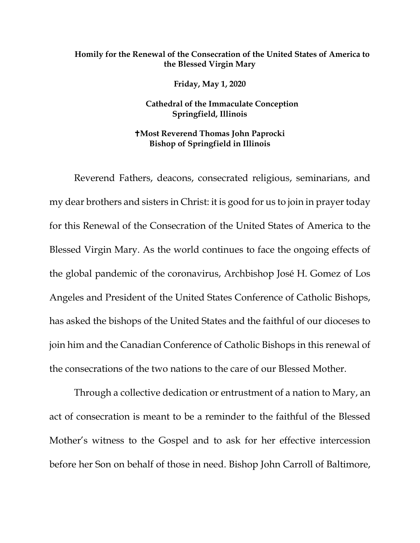## **Homily for the Renewal of the Consecration of the United States of America to the Blessed Virgin Mary**

**Friday, May 1, 2020**

**Cathedral of the Immaculate Conception Springfield, Illinois**

**Most Reverend Thomas John Paprocki Bishop of Springfield in Illinois**

Reverend Fathers, deacons, consecrated religious, seminarians, and my dear brothers and sisters in Christ: it is good for us to join in prayer today for this Renewal of the Consecration of the United States of America to the Blessed Virgin Mary. As the world continues to face the ongoing effects of the global pandemic of the coronavirus, Archbishop José H. Gomez of Los Angeles and President of the United States Conference of Catholic Bishops, has asked the bishops of the United States and the faithful of our dioceses to join him and the Canadian Conference of Catholic Bishops in this renewal of the consecrations of the two nations to the care of our Blessed Mother.

Through a collective dedication or entrustment of a nation to Mary, an act of consecration is meant to be a reminder to the faithful of the Blessed Mother's witness to the Gospel and to ask for her effective intercession before her Son on behalf of those in need. Bishop John Carroll of Baltimore,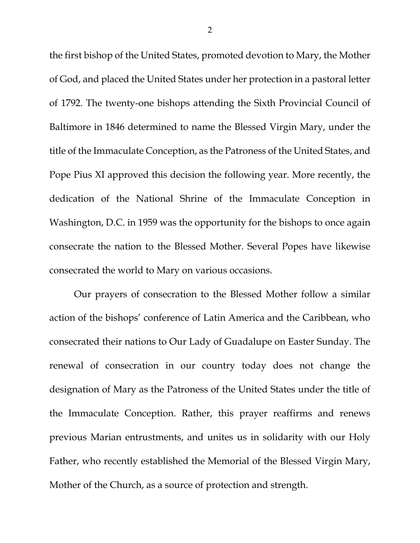the first bishop of the United States, promoted devotion to Mary, the Mother of God, and placed the United States under her protection in a pastoral letter of 1792. The twenty-one bishops attending the Sixth Provincial Council of Baltimore in 1846 determined to name the Blessed Virgin Mary, under the title of the Immaculate Conception, as the Patroness of the United States, and Pope Pius XI approved this decision the following year. More recently, the dedication of the National Shrine of the Immaculate Conception in Washington, D.C. in 1959 was the opportunity for the bishops to once again consecrate the nation to the Blessed Mother. Several Popes have likewise consecrated the world to Mary on various occasions.

Our prayers of consecration to the Blessed Mother follow a similar action of the bishops' conference of Latin America and the Caribbean, who consecrated their nations to Our Lady of Guadalupe on Easter Sunday. The renewal of consecration in our country today does not change the designation of Mary as the Patroness of the United States under the title of the Immaculate Conception. Rather, this prayer reaffirms and renews previous Marian entrustments, and unites us in solidarity with our Holy Father, who recently established the Memorial of the Blessed Virgin Mary, Mother of the Church, as a source of protection and strength.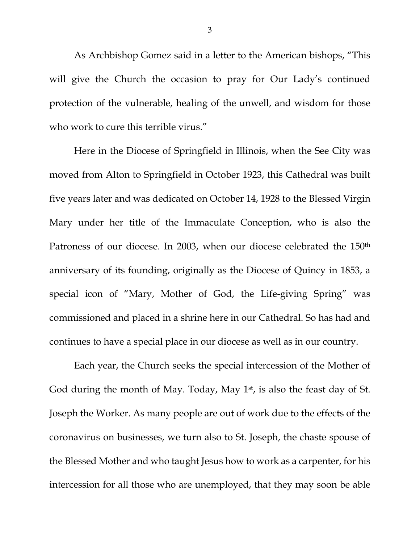As Archbishop Gomez said in a letter to the American bishops, "This will give the Church the occasion to pray for Our Lady's continued protection of the vulnerable, healing of the unwell, and wisdom for those who work to cure this terrible virus."

Here in the Diocese of Springfield in Illinois, when the See City was moved from Alton to Springfield in October 1923, this Cathedral was built five years later and was dedicated on October 14, 1928 to the Blessed Virgin Mary under her title of the Immaculate Conception, who is also the Patroness of our diocese. In 2003, when our diocese celebrated the 150<sup>th</sup> anniversary of its founding, originally as the Diocese of Quincy in 1853, a special icon of "Mary, Mother of God, the Life-giving Spring" was commissioned and placed in a shrine here in our Cathedral. So has had and continues to have a special place in our diocese as well as in our country.

Each year, the Church seeks the special intercession of the Mother of God during the month of May. Today, May  $1<sup>st</sup>$ , is also the feast day of St. Joseph the Worker. As many people are out of work due to the effects of the coronavirus on businesses, we turn also to St. Joseph, the chaste spouse of the Blessed Mother and who taught Jesus how to work as a carpenter, for his intercession for all those who are unemployed, that they may soon be able